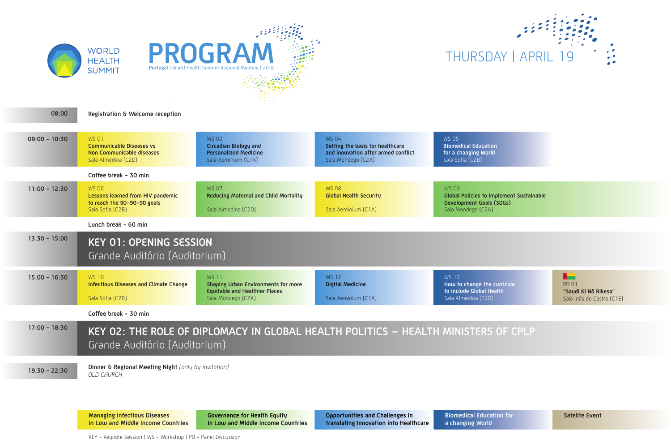**Managing Infectious Diseases in Low and Middle Income Countries** **Governance for Health Equity in Low and Middle Income Countries**

**Opportunities and Challenges in translating Innovation into Healthcare** **Biomedical Education for** 

**a changing World**

KEY - Keynote Session | WS - Workshop | PD - Panel Discussion

**Global Policies to Implement Sustainable Development Goals (SDGs)**   $\overline{C2A}$ 

**the curricula al Health**  $[2D]$ 

| 08:00           | Registration & Welcome reception                                                                          |                                                                                                                           |                                                                                                               |                                                                             |  |  |
|-----------------|-----------------------------------------------------------------------------------------------------------|---------------------------------------------------------------------------------------------------------------------------|---------------------------------------------------------------------------------------------------------------|-----------------------------------------------------------------------------|--|--|
| $09:00 - 10:30$ | <b>WS 01</b><br><b>Communicable Diseases vs</b><br>Non Communicable diseases<br>Sala Almedina (C2D)       | <b>WS 02</b><br><b>Circadian Biology and</b><br><b>Personalized Medicine</b><br>Sala Aeminium (C1A)                       | <b>WS 04</b><br>Setting the basis for healthcare<br>and innovation after armed conflict<br>Sala Mondego (C2A) | <b>WS 05</b><br><b>Biomedical Edu</b><br>for a changing<br>Sala Sofia (C2B) |  |  |
|                 | Coffee break - 30 min                                                                                     |                                                                                                                           |                                                                                                               |                                                                             |  |  |
| $11:00 - 12:30$ | <b>WS 06</b><br>Lessons learned from HIV pandemic<br>to reach the 90-90-90 goals<br>Sala Sofia (C2B)      | <b>WS 07</b><br>Reducing Maternal and Child Mortality<br>Sala Almedina (C2D)                                              | <b>WS 08</b><br><b>Global Health Security</b><br>Sala Aeminium (C1A)                                          | <b>WS 09</b><br><b>Global Policies</b><br>Development G<br>Sala Mondego (   |  |  |
|                 | Lunch break - 60 min                                                                                      |                                                                                                                           |                                                                                                               |                                                                             |  |  |
| $13:30 - 15:00$ | <b>KEY 01: OPENING SESSION</b><br>Grande Auditório (Auditorium)                                           |                                                                                                                           |                                                                                                               |                                                                             |  |  |
| $15:00 - 16:30$ | <b>WS 10</b><br><b>Infectious Diseases and Climate Change</b><br>Sala Sofia (C2B)                         | <b>WS 11</b><br><b>Shaping Urban Environments for more</b><br><b>Equitable and Healthier Places</b><br>Sala Mondego (C2A) | <b>WS 12</b><br><b>Digital Medicine</b><br>Sala Aeminium (C1A)                                                | <b>WS 13</b><br>How to change<br>to include Glob<br>Sala Almedina (         |  |  |
|                 | Coffee break - 30 min                                                                                     |                                                                                                                           |                                                                                                               |                                                                             |  |  |
| $17:00 - 18:30$ | KEY 02: THE ROLE OF DIPLOMACY IN GLOBAL HEALTH POLITICS - HEALTH MINISTE<br>Grande Auditório (Auditorium) |                                                                                                                           |                                                                                                               |                                                                             |  |  |
| $19:30 - 22:30$ | Dinner & Regional Meeting Night (only by invitation)<br>OLD CHURCH                                        |                                                                                                                           |                                                                                                               |                                                                             |  |  |

 $\overline{\phantom{a}}$ PD 01 **"Saudi Ki Nô Rikesa"** Sala Inês de Castro (C1E)

## RS OF CPLP



**Bication** *Morld* 

**Satelite Event**